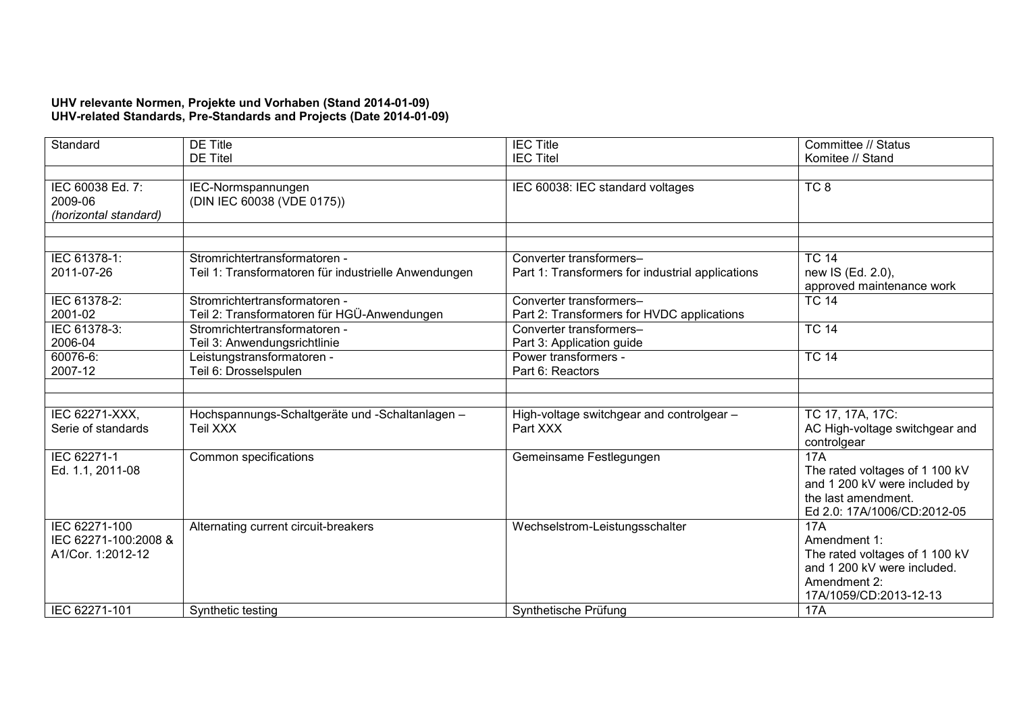## **UHV relevante Normen, Projekte und Vorhaben (Stand 2014-01-09) UHV-related Standards, Pre-Standards and Projects (Date 2014-01-09)**

| Standard                                                   | <b>DE Title</b>                                                              | <b>IEC Title</b>                                                      | Committee // Status                                                                                                            |
|------------------------------------------------------------|------------------------------------------------------------------------------|-----------------------------------------------------------------------|--------------------------------------------------------------------------------------------------------------------------------|
|                                                            | <b>DE Titel</b>                                                              | <b>IEC Titel</b>                                                      | Komitee // Stand                                                                                                               |
|                                                            |                                                                              |                                                                       |                                                                                                                                |
| IEC 60038 Ed. 7:<br>2009-06<br>(horizontal standard)       | IEC-Normspannungen<br>(DIN IEC 60038 (VDE 0175))                             | IEC 60038: IEC standard voltages                                      | TC <sub>8</sub>                                                                                                                |
|                                                            |                                                                              |                                                                       |                                                                                                                                |
|                                                            |                                                                              |                                                                       |                                                                                                                                |
| IEC 61378-1:                                               | Stromrichtertransformatoren -                                                | Converter transformers-                                               | <b>TC 14</b>                                                                                                                   |
| 2011-07-26                                                 | Teil 1: Transformatoren für industrielle Anwendungen                         | Part 1: Transformers for industrial applications                      | new IS (Ed. 2.0),<br>approved maintenance work                                                                                 |
| IEC 61378-2:<br>2001-02                                    | Stromrichtertransformatoren -<br>Teil 2: Transformatoren für HGÜ-Anwendungen | Converter transformers-<br>Part 2: Transformers for HVDC applications | <b>TC 14</b>                                                                                                                   |
| IEC 61378-3:<br>2006-04                                    | Stromrichtertransformatoren -<br>Teil 3: Anwendungsrichtlinie                | Converter transformers-<br>Part 3: Application guide                  | <b>TC 14</b>                                                                                                                   |
| 60076-6:<br>2007-12                                        | Leistungstransformatoren -<br>Teil 6: Drosselspulen                          | Power transformers -<br>Part 6: Reactors                              | <b>TC 14</b>                                                                                                                   |
|                                                            |                                                                              |                                                                       |                                                                                                                                |
|                                                            |                                                                              |                                                                       |                                                                                                                                |
| IEC 62271-XXX,<br>Serie of standards                       | Hochspannungs-Schaltgeräte und -Schaltanlagen -<br>Teil XXX                  | High-voltage switchgear and controlgear -<br>Part XXX                 | TC 17, 17A, 17C:<br>AC High-voltage switchgear and<br>controlgear                                                              |
| IEC 62271-1<br>Ed. 1.1, 2011-08                            | Common specifications                                                        | Gemeinsame Festlegungen                                               | 17A<br>The rated voltages of 1 100 kV<br>and 1 200 kV were included by<br>the last amendment.<br>Ed 2.0: 17A/1006/CD:2012-05   |
| IEC 62271-100<br>IEC 62271-100:2008 &<br>A1/Cor. 1:2012-12 | Alternating current circuit-breakers                                         | Wechselstrom-Leistungsschalter                                        | 17A<br>Amendment 1:<br>The rated voltages of 1 100 kV<br>and 1 200 kV were included.<br>Amendment 2:<br>17A/1059/CD:2013-12-13 |
| IEC 62271-101                                              | Synthetic testing                                                            | Synthetische Prüfung                                                  | <b>17A</b>                                                                                                                     |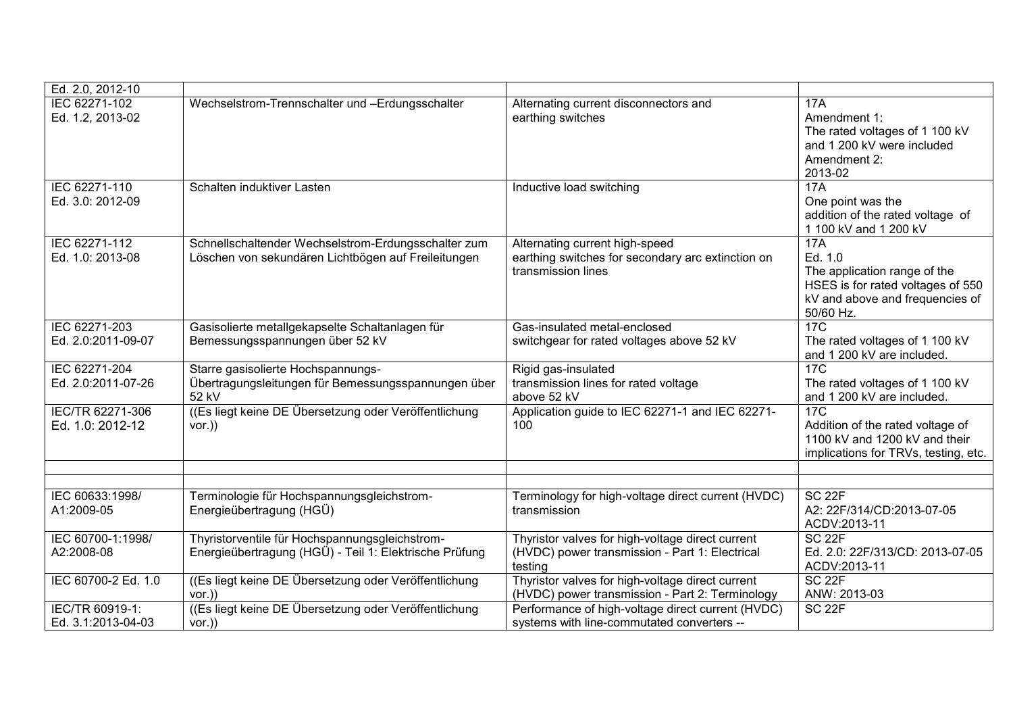| Ed. 2.0, 2012-10                      |                                                                                                            |                                                                                                               |                                                                                                                                            |
|---------------------------------------|------------------------------------------------------------------------------------------------------------|---------------------------------------------------------------------------------------------------------------|--------------------------------------------------------------------------------------------------------------------------------------------|
| IEC 62271-102<br>Ed. 1.2, 2013-02     | Wechselstrom-Trennschalter und -Erdungsschalter                                                            | Alternating current disconnectors and<br>earthing switches                                                    | <b>17A</b><br>Amendment 1:<br>The rated voltages of 1 100 kV<br>and 1 200 kV were included<br>Amendment 2:<br>2013-02                      |
| IEC 62271-110<br>Ed. 3.0: 2012-09     | Schalten induktiver Lasten                                                                                 | Inductive load switching                                                                                      | 17A<br>One point was the<br>addition of the rated voltage of<br>1 100 kV and 1 200 kV                                                      |
| IEC 62271-112<br>Ed. 1.0: 2013-08     | Schnellschaltender Wechselstrom-Erdungsschalter zum<br>Löschen von sekundären Lichtbögen auf Freileitungen | Alternating current high-speed<br>earthing switches for secondary arc extinction on<br>transmission lines     | <b>17A</b><br>Ed. 1.0<br>The application range of the<br>HSES is for rated voltages of 550<br>kV and above and frequencies of<br>50/60 Hz. |
| IEC 62271-203<br>Ed. 2.0:2011-09-07   | Gasisolierte metallgekapselte Schaltanlagen für<br>Bemessungsspannungen über 52 kV                         | Gas-insulated metal-enclosed<br>switchgear for rated voltages above 52 kV                                     | 17C<br>The rated voltages of 1 100 kV<br>and 1 200 kV are included.                                                                        |
| IEC 62271-204<br>Ed. 2.0:2011-07-26   | Starre gasisolierte Hochspannungs-<br>Übertragungsleitungen für Bemessungsspannungen über<br>52 kV         | Rigid gas-insulated<br>transmission lines for rated voltage<br>above 52 kV                                    | <b>17C</b><br>The rated voltages of 1 100 kV<br>and 1 200 kV are included.                                                                 |
| IEC/TR 62271-306<br>Ed. 1.0: 2012-12  | ((Es liegt keine DE Übersetzung oder Veröffentlichung)<br>vor.)                                            | Application guide to IEC 62271-1 and IEC 62271-<br>100                                                        | 17C<br>Addition of the rated voltage of<br>1100 kV and 1200 kV and their<br>implications for TRVs, testing, etc.                           |
|                                       |                                                                                                            |                                                                                                               |                                                                                                                                            |
| IEC 60633:1998/<br>A1:2009-05         | Terminologie für Hochspannungsgleichstrom-<br>Energieübertragung (HGÜ)                                     | Terminology for high-voltage direct current (HVDC)<br>transmission                                            | SC <sub>22F</sub><br>A2: 22F/314/CD:2013-07-05<br>ACDV:2013-11                                                                             |
| IEC 60700-1:1998/<br>A2:2008-08       | Thyristorventile für Hochspannungsgleichstrom-<br>Energieübertragung (HGÜ) - Teil 1: Elektrische Prüfung   | Thyristor valves for high-voltage direct current<br>(HVDC) power transmission - Part 1: Electrical<br>testing | <b>SC 22F</b><br>Ed. 2.0: 22F/313/CD: 2013-07-05<br>ACDV:2013-11                                                                           |
| IEC 60700-2 Ed. 1.0                   | ((Es liegt keine DE Übersetzung oder Veröffentlichung<br>$vor.$ )                                          | Thyristor valves for high-voltage direct current<br>(HVDC) power transmission - Part 2: Terminology           | SC <sub>22F</sub><br>ANW: 2013-03                                                                                                          |
| IEC/TR 60919-1:<br>Ed. 3.1:2013-04-03 | ((Es liegt keine DE Übersetzung oder Veröffentlichung)<br>$vor.$ )                                         | Performance of high-voltage direct current (HVDC)<br>systems with line-commutated converters --               | SC <sub>22F</sub>                                                                                                                          |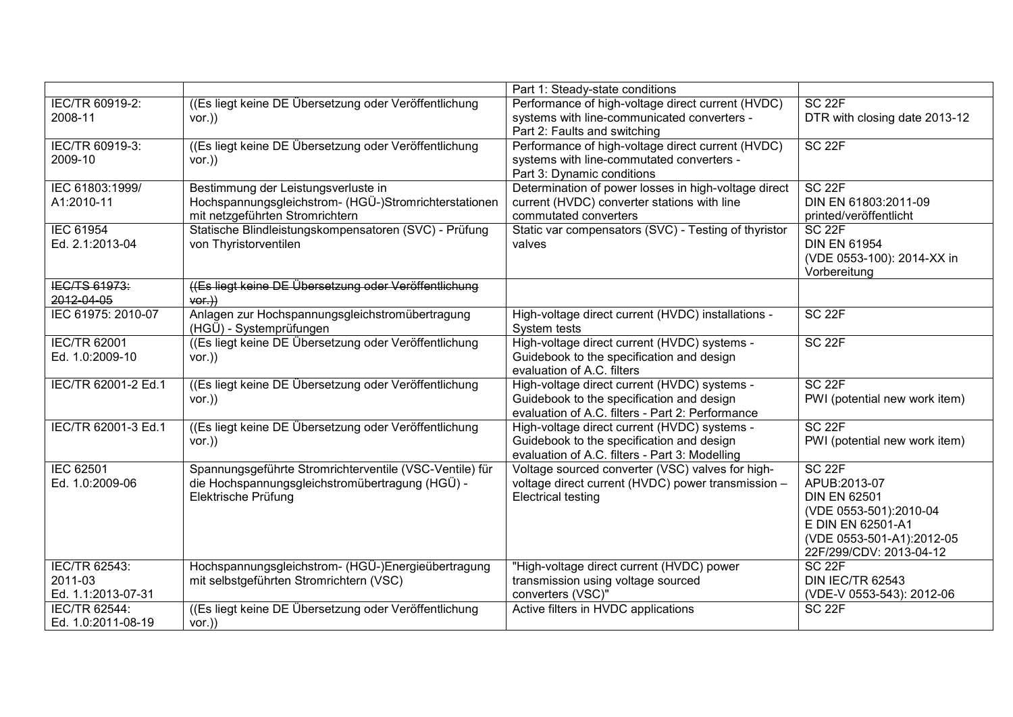|                     |                                                         | Part 1: Steady-state conditions                      |                               |
|---------------------|---------------------------------------------------------|------------------------------------------------------|-------------------------------|
| IEC/TR 60919-2:     | ((Es liegt keine DE Übersetzung oder Veröffentlichung)  | Performance of high-voltage direct current (HVDC)    | SC <sub>22F</sub>             |
| 2008-11             | vor.)                                                   | systems with line-communicated converters -          | DTR with closing date 2013-12 |
|                     |                                                         | Part 2: Faults and switching                         |                               |
| IEC/TR 60919-3:     | ((Es liegt keine DE Übersetzung oder Veröffentlichung   | Performance of high-voltage direct current (HVDC)    | SC <sub>22F</sub>             |
| 2009-10             | $vor.$ )                                                | systems with line-commutated converters -            |                               |
|                     |                                                         | Part 3: Dynamic conditions                           |                               |
| IEC 61803:1999/     | Bestimmung der Leistungsverluste in                     | Determination of power losses in high-voltage direct | SC <sub>22F</sub>             |
| A1:2010-11          | Hochspannungsgleichstrom- (HGÜ-)Stromrichterstationen   | current (HVDC) converter stations with line          | DIN EN 61803:2011-09          |
|                     | mit netzgeführten Stromrichtern                         | commutated converters                                | printed/veröffentlicht        |
| <b>IEC 61954</b>    | Statische Blindleistungskompensatoren (SVC) - Prüfung   | Static var compensators (SVC) - Testing of thyristor | SC <sub>22F</sub>             |
| Ed. 2.1:2013-04     | von Thyristorventilen                                   | valves                                               | <b>DIN EN 61954</b>           |
|                     |                                                         |                                                      | (VDE 0553-100): 2014-XX in    |
|                     |                                                         |                                                      | Vorbereitung                  |
| IEC/TS 61973:       | ((Es liegt keine DE Übersetzung oder Veröffentlichung   |                                                      |                               |
| 2012-04-05          | $\forall$ Or.)                                          |                                                      |                               |
| IEC 61975: 2010-07  | Anlagen zur Hochspannungsgleichstromübertragung         | High-voltage direct current (HVDC) installations -   | SC <sub>22F</sub>             |
|                     | (HGÜ) - Systemprüfungen                                 | System tests                                         |                               |
| <b>IEC/TR 62001</b> | ((Es liegt keine DE Übersetzung oder Veröffentlichung)  | High-voltage direct current (HVDC) systems -         | SC <sub>22F</sub>             |
| Ed. 1.0:2009-10     | vor.)                                                   | Guidebook to the specification and design            |                               |
|                     |                                                         | evaluation of A.C. filters                           |                               |
| IEC/TR 62001-2 Ed.1 | ((Es liegt keine DE Übersetzung oder Veröffentlichung   | High-voltage direct current (HVDC) systems -         | SC <sub>22F</sub>             |
|                     | vor.)                                                   | Guidebook to the specification and design            | PWI (potential new work item) |
|                     |                                                         | evaluation of A.C. filters - Part 2: Performance     |                               |
| IEC/TR 62001-3 Ed.1 | ((Es liegt keine DE Übersetzung oder Veröffentlichung   | High-voltage direct current (HVDC) systems -         | SC <sub>22F</sub>             |
|                     | vor.)                                                   | Guidebook to the specification and design            | PWI (potential new work item) |
|                     |                                                         | evaluation of A.C. filters - Part 3: Modelling       |                               |
| <b>IEC 62501</b>    | Spannungsgeführte Stromrichterventile (VSC-Ventile) für | Voltage sourced converter (VSC) valves for high-     | SC <sub>22F</sub>             |
| Ed. 1.0:2009-06     | die Hochspannungsgleichstromübertragung (HGÜ) -         | voltage direct current (HVDC) power transmission -   | APUB:2013-07                  |
|                     | Elektrische Prüfung                                     | <b>Electrical testing</b>                            | <b>DIN EN 62501</b>           |
|                     |                                                         |                                                      | (VDE 0553-501):2010-04        |
|                     |                                                         |                                                      | E DIN EN 62501-A1             |
|                     |                                                         |                                                      | (VDE 0553-501-A1):2012-05     |
|                     |                                                         |                                                      | 22F/299/CDV: 2013-04-12       |
| IEC/TR 62543:       | Hochspannungsgleichstrom- (HGÜ-)Energieübertragung      | "High-voltage direct current (HVDC) power            | SC <sub>22F</sub>             |
| 2011-03             | mit selbstgeführten Stromrichtern (VSC)                 | transmission using voltage sourced                   | <b>DIN IEC/TR 62543</b>       |
| Ed. 1.1:2013-07-31  |                                                         | converters (VSC)"                                    | (VDE-V 0553-543): 2012-06     |
| IEC/TR 62544:       | ((Es liegt keine DE Übersetzung oder Veröffentlichung)  | Active filters in HVDC applications                  | <b>SC 22F</b>                 |
| Ed. 1.0:2011-08-19  | $vor.$ )                                                |                                                      |                               |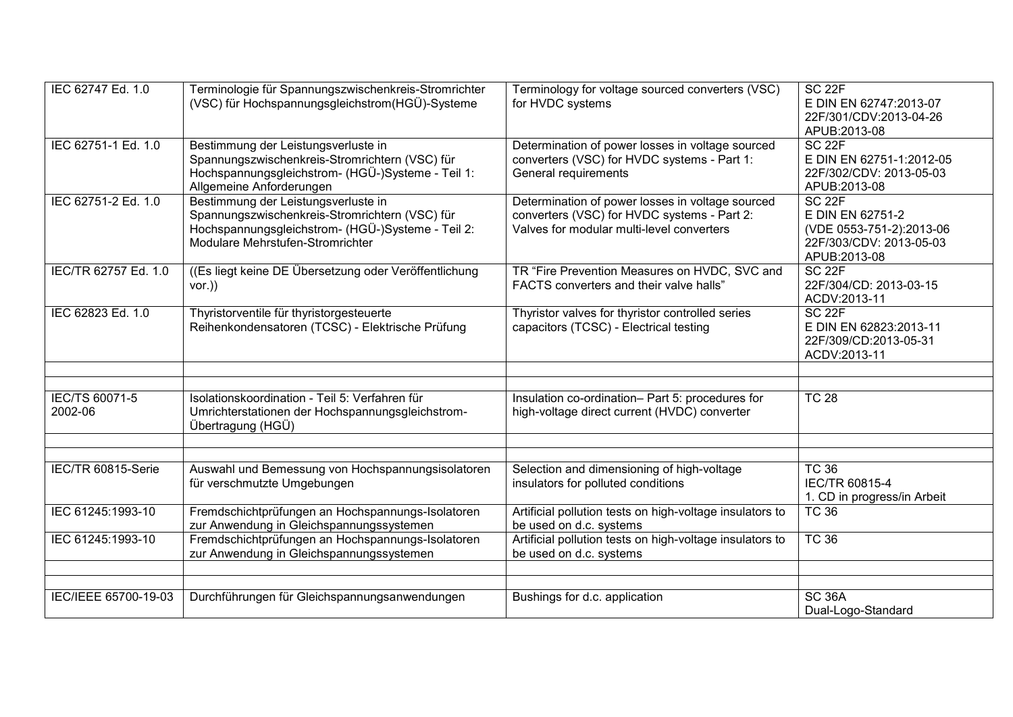| IEC 62747 Ed. 1.0         | Terminologie für Spannungszwischenkreis-Stromrichter<br>(VSC) für Hochspannungsgleichstrom(HGÜ)-Systeme                                                                                                    | Terminology for voltage sourced converters (VSC)<br>for HVDC systems                                                                         | SC <sub>22F</sub><br>E DIN EN 62747:2013-07<br>22F/301/CDV:2013-04-26                                                        |
|---------------------------|------------------------------------------------------------------------------------------------------------------------------------------------------------------------------------------------------------|----------------------------------------------------------------------------------------------------------------------------------------------|------------------------------------------------------------------------------------------------------------------------------|
| IEC 62751-1 Ed. 1.0       | Bestimmung der Leistungsverluste in<br>Spannungszwischenkreis-Stromrichtern (VSC) für<br>Hochspannungsgleichstrom- (HGÜ-)Systeme - Teil 1:                                                                 | Determination of power losses in voltage sourced<br>converters (VSC) for HVDC systems - Part 1:<br>General requirements                      | APUB:2013-08<br>SC <sub>22F</sub><br>E DIN EN 62751-1:2012-05<br>22F/302/CDV: 2013-05-03                                     |
| IEC 62751-2 Ed. 1.0       | Allgemeine Anforderungen<br>Bestimmung der Leistungsverluste in<br>Spannungszwischenkreis-Stromrichtern (VSC) für<br>Hochspannungsgleichstrom- (HGÜ-)Systeme - Teil 2:<br>Modulare Mehrstufen-Stromrichter | Determination of power losses in voltage sourced<br>converters (VSC) for HVDC systems - Part 2:<br>Valves for modular multi-level converters | APUB:2013-08<br>SC <sub>22F</sub><br>E DIN EN 62751-2<br>(VDE 0553-751-2):2013-06<br>22F/303/CDV: 2013-05-03<br>APUB:2013-08 |
| IEC/TR 62757 Ed. 1.0      | ((Es liegt keine DE Übersetzung oder Veröffentlichung<br>$vor.$ )                                                                                                                                          | TR "Fire Prevention Measures on HVDC, SVC and<br>FACTS converters and their valve halls"                                                     | SC <sub>22F</sub><br>22F/304/CD: 2013-03-15<br>ACDV:2013-11                                                                  |
| IEC 62823 Ed. 1.0         | Thyristorventile für thyristorgesteuerte<br>Reihenkondensatoren (TCSC) - Elektrische Prüfung                                                                                                               | Thyristor valves for thyristor controlled series<br>capacitors (TCSC) - Electrical testing                                                   | <b>SC 22F</b><br>E DIN EN 62823:2013-11<br>22F/309/CD:2013-05-31<br>ACDV:2013-11                                             |
|                           |                                                                                                                                                                                                            |                                                                                                                                              |                                                                                                                              |
| IEC/TS 60071-5<br>2002-06 | Isolationskoordination - Teil 5: Verfahren für<br>Umrichterstationen der Hochspannungsgleichstrom-<br>Übertragung (HGÜ)                                                                                    | Insulation co-ordination- Part 5: procedures for<br>high-voltage direct current (HVDC) converter                                             | <b>TC 28</b>                                                                                                                 |
|                           |                                                                                                                                                                                                            |                                                                                                                                              |                                                                                                                              |
| IEC/TR 60815-Serie        | Auswahl und Bemessung von Hochspannungsisolatoren<br>für verschmutzte Umgebungen                                                                                                                           | Selection and dimensioning of high-voltage<br>insulators for polluted conditions                                                             | <b>TC 36</b><br>IEC/TR 60815-4<br>1. CD in progress/in Arbeit                                                                |
| IEC 61245:1993-10         | Fremdschichtprüfungen an Hochspannungs-Isolatoren<br>zur Anwendung in Gleichspannungssystemen                                                                                                              | Artificial pollution tests on high-voltage insulators to<br>be used on d.c. systems                                                          | <b>TC 36</b>                                                                                                                 |
| IEC 61245:1993-10         | Fremdschichtprüfungen an Hochspannungs-Isolatoren<br>zur Anwendung in Gleichspannungssystemen                                                                                                              | Artificial pollution tests on high-voltage insulators to<br>be used on d.c. systems                                                          | <b>TC 36</b>                                                                                                                 |
|                           |                                                                                                                                                                                                            |                                                                                                                                              |                                                                                                                              |
| IEC/IEEE 65700-19-03      | Durchführungen für Gleichspannungsanwendungen                                                                                                                                                              | Bushings for d.c. application                                                                                                                | <b>SC 36A</b><br>Dual-Logo-Standard                                                                                          |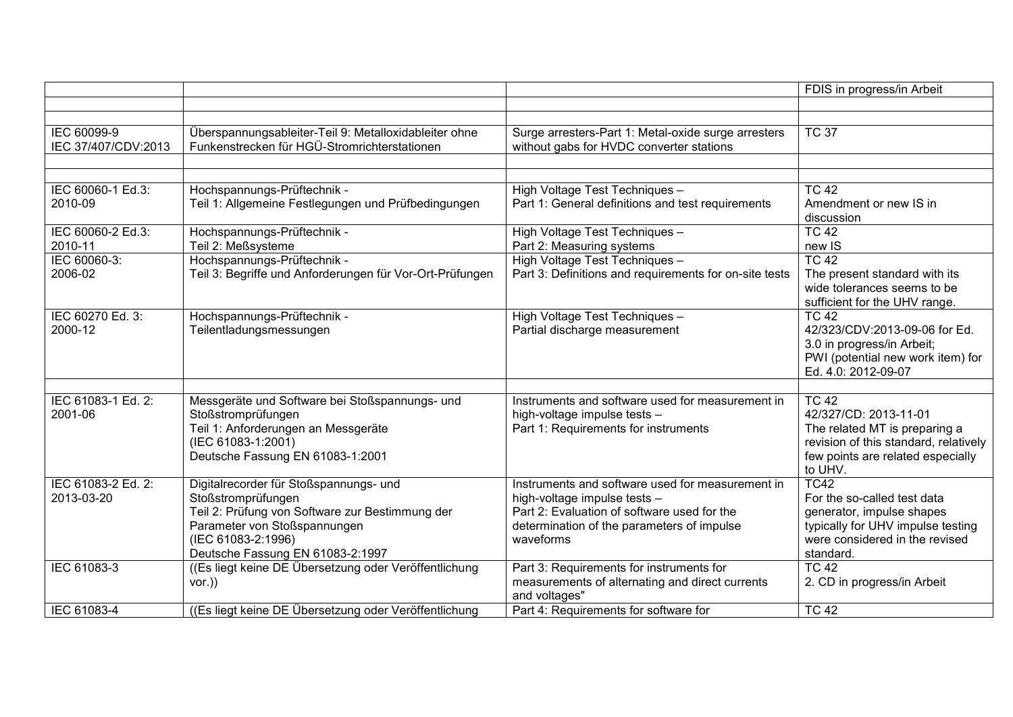|                                    |                                                                                                                                                                                                           |                                                                                                                                                                                            | FDIS in progress/in Arbeit                                                                                                                                        |
|------------------------------------|-----------------------------------------------------------------------------------------------------------------------------------------------------------------------------------------------------------|--------------------------------------------------------------------------------------------------------------------------------------------------------------------------------------------|-------------------------------------------------------------------------------------------------------------------------------------------------------------------|
|                                    |                                                                                                                                                                                                           |                                                                                                                                                                                            |                                                                                                                                                                   |
|                                    |                                                                                                                                                                                                           |                                                                                                                                                                                            |                                                                                                                                                                   |
| IEC 60099-9<br>IEC 37/407/CDV:2013 | Überspannungsableiter-Teil 9: Metalloxidableiter ohne<br>Funkenstrecken für HGÜ-Stromrichterstationen                                                                                                     | Surge arresters-Part 1: Metal-oxide surge arresters<br>without gabs for HVDC converter stations                                                                                            | <b>TC 37</b>                                                                                                                                                      |
|                                    |                                                                                                                                                                                                           |                                                                                                                                                                                            |                                                                                                                                                                   |
|                                    |                                                                                                                                                                                                           |                                                                                                                                                                                            |                                                                                                                                                                   |
| IEC 60060-1 Ed.3:<br>2010-09       | Hochspannungs-Prüftechnik -<br>Teil 1: Allgemeine Festlegungen und Prüfbedingungen                                                                                                                        | High Voltage Test Techniques -<br>Part 1: General definitions and test requirements                                                                                                        | <b>TC 42</b><br>Amendment or new IS in<br>discussion                                                                                                              |
| IEC 60060-2 Ed.3:<br>2010-11       | Hochspannungs-Prüftechnik -<br>Teil 2: Meßsysteme                                                                                                                                                         | High Voltage Test Techniques -<br>Part 2: Measuring systems                                                                                                                                | $TC$ 42<br>new IS                                                                                                                                                 |
| IEC 60060-3:                       | Hochspannungs-Prüftechnik -                                                                                                                                                                               | High Voltage Test Techniques -                                                                                                                                                             | TC <sub>42</sub>                                                                                                                                                  |
| 2006-02                            | Teil 3: Begriffe und Anforderungen für Vor-Ort-Prüfungen                                                                                                                                                  | Part 3: Definitions and requirements for on-site tests                                                                                                                                     | The present standard with its<br>wide tolerances seems to be<br>sufficient for the UHV range.                                                                     |
| IEC 60270 Ed. 3:<br>2000-12        | Hochspannungs-Prüftechnik -<br>Teilentladungsmessungen                                                                                                                                                    | High Voltage Test Techniques -<br>Partial discharge measurement                                                                                                                            | <b>TC 42</b><br>42/323/CDV:2013-09-06 for Ed.<br>3.0 in progress/in Arbeit;<br>PWI (potential new work item) for<br>Ed. 4.0: 2012-09-07                           |
|                                    |                                                                                                                                                                                                           |                                                                                                                                                                                            |                                                                                                                                                                   |
| IEC 61083-1 Ed. 2:<br>2001-06      | Messgeräte und Software bei Stoßspannungs- und<br>Stoßstromprüfungen<br>Teil 1: Anforderungen an Messgeräte<br>(IEC 61083-1:2001)<br>Deutsche Fassung EN 61083-1:2001                                     | Instruments and software used for measurement in<br>high-voltage impulse tests -<br>Part 1: Requirements for instruments                                                                   | <b>TC 42</b><br>42/327/CD: 2013-11-01<br>The related MT is preparing a<br>revision of this standard, relatively<br>few points are related especially<br>to UHV.   |
| IEC 61083-2 Ed. 2:<br>2013-03-20   | Digitalrecorder für Stoßspannungs- und<br>Stoßstromprüfungen<br>Teil 2: Prüfung von Software zur Bestimmung der<br>Parameter von Stoßspannungen<br>(IEC 61083-2:1996)<br>Deutsche Fassung EN 61083-2:1997 | Instruments and software used for measurement in<br>high-voltage impulse tests -<br>Part 2: Evaluation of software used for the<br>determination of the parameters of impulse<br>waveforms | $\overline{TC42}$<br>For the so-called test data<br>generator, impulse shapes<br>typically for UHV impulse testing<br>were considered in the revised<br>standard. |
| IEC 61083-3                        | ((Es liegt keine DE Übersetzung oder Veröffentlichung<br>$vor.$ )                                                                                                                                         | Part 3: Requirements for instruments for<br>measurements of alternating and direct currents<br>and voltages"                                                                               | <b>TC 42</b><br>2. CD in progress/in Arbeit                                                                                                                       |
| IEC 61083-4                        | ((Es liegt keine DE Übersetzung oder Veröffentlichung                                                                                                                                                     | Part 4: Requirements for software for                                                                                                                                                      | <b>TC 42</b>                                                                                                                                                      |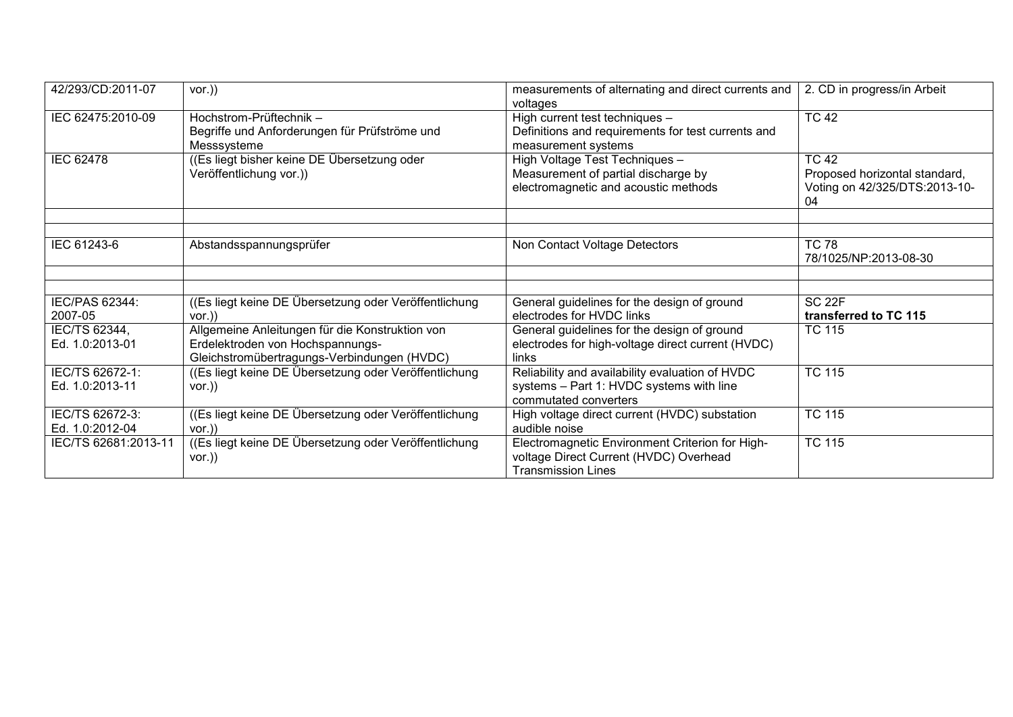| 42/293/CD:2011-07                  | vor.)                                                                                                                              | measurements of alternating and direct currents and<br>voltages                                                        | 2. CD in progress/in Arbeit                                                          |
|------------------------------------|------------------------------------------------------------------------------------------------------------------------------------|------------------------------------------------------------------------------------------------------------------------|--------------------------------------------------------------------------------------|
| IEC 62475:2010-09                  | Hochstrom-Prüftechnik-<br>Begriffe und Anforderungen für Prüfströme und<br>Messsysteme                                             | High current test techniques -<br>Definitions and requirements for test currents and<br>measurement systems            | <b>TC 42</b>                                                                         |
| <b>IEC 62478</b>                   | ((Es liegt bisher keine DE Übersetzung oder<br>Veröffentlichung vor.))                                                             | High Voltage Test Techniques -<br>Measurement of partial discharge by<br>electromagnetic and acoustic methods          | <b>TC 42</b><br>Proposed horizontal standard,<br>Voting on 42/325/DTS:2013-10-<br>04 |
|                                    |                                                                                                                                    |                                                                                                                        |                                                                                      |
| IEC 61243-6                        | Abstandsspannungsprüfer                                                                                                            | Non Contact Voltage Detectors                                                                                          | <b>TC 78</b><br>78/1025/NP:2013-08-30                                                |
|                                    |                                                                                                                                    |                                                                                                                        |                                                                                      |
| IEC/PAS 62344:<br>2007-05          | ((Es liegt keine DE Übersetzung oder Veröffentlichung)<br>$vor.$ )                                                                 | General guidelines for the design of ground<br>electrodes for HVDC links                                               | SC <sub>22F</sub><br>transferred to TC 115                                           |
| IEC/TS 62344,<br>Ed. 1.0:2013-01   | Allgemeine Anleitungen für die Konstruktion von<br>Erdelektroden von Hochspannungs-<br>Gleichstromübertragungs-Verbindungen (HVDC) | General guidelines for the design of ground<br>electrodes for high-voltage direct current (HVDC)<br>links              | <b>TC 115</b>                                                                        |
| IEC/TS 62672-1:<br>Ed. 1.0:2013-11 | ((Es liegt keine DE Übersetzung oder Veröffentlichung)<br>vor.)                                                                    | Reliability and availability evaluation of HVDC<br>systems - Part 1: HVDC systems with line<br>commutated converters   | <b>TC 115</b>                                                                        |
| IEC/TS 62672-3:<br>Ed. 1.0:2012-04 | ((Es liegt keine DE Übersetzung oder Veröffentlichung<br>$VOT.$ )                                                                  | High voltage direct current (HVDC) substation<br>audible noise                                                         | <b>TC 115</b>                                                                        |
| IEC/TS 62681:2013-11               | ((Es liegt keine DE Übersetzung oder Veröffentlichung<br>$vor.$ )                                                                  | Electromagnetic Environment Criterion for High-<br>voltage Direct Current (HVDC) Overhead<br><b>Transmission Lines</b> | <b>TC 115</b>                                                                        |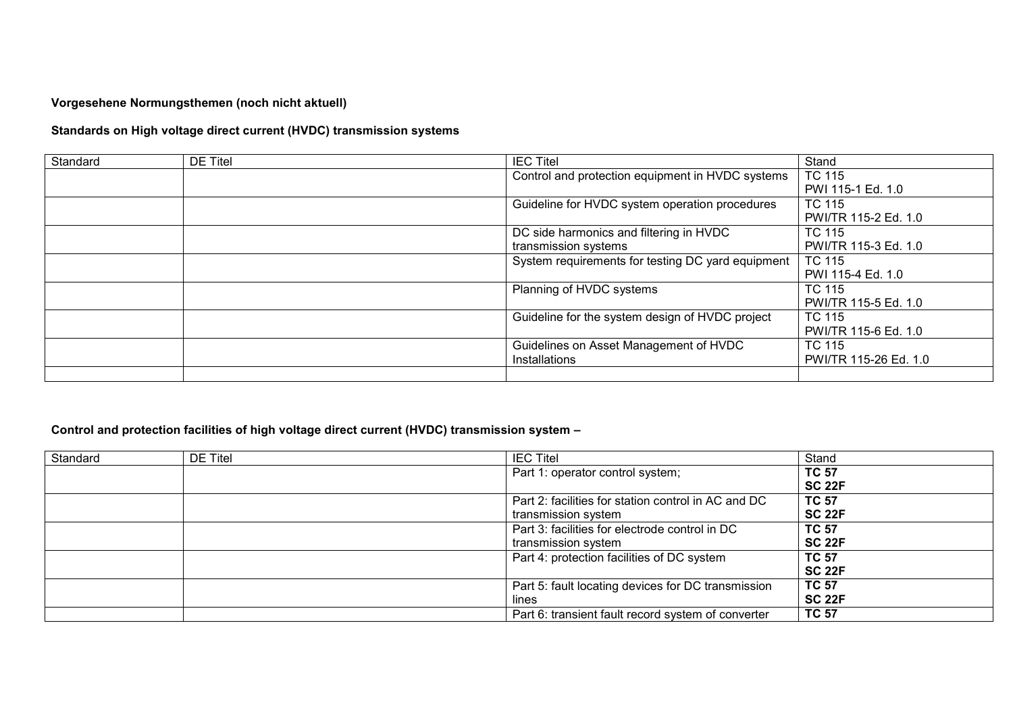**Vorgesehene Normungsthemen (noch nicht aktuell)**

## **Standards on High voltage direct current (HVDC) transmission systems**

| Standard | <b>DE Titel</b> | <b>IEC Titel</b>                                  | Stand                 |
|----------|-----------------|---------------------------------------------------|-----------------------|
|          |                 | Control and protection equipment in HVDC systems  | <b>TC 115</b>         |
|          |                 |                                                   | PWI 115-1 Ed. 1.0     |
|          |                 | Guideline for HVDC system operation procedures    | TC 115                |
|          |                 |                                                   | PWI/TR 115-2 Ed. 1.0  |
|          |                 | DC side harmonics and filtering in HVDC           | <b>TC 115</b>         |
|          |                 | transmission systems                              | PWI/TR 115-3 Ed. 1.0  |
|          |                 | System requirements for testing DC yard equipment | <b>TC 115</b>         |
|          |                 |                                                   | PWI 115-4 Ed. 1.0     |
|          |                 | Planning of HVDC systems                          | <b>TC 115</b>         |
|          |                 |                                                   | PWI/TR 115-5 Ed. 1.0  |
|          |                 | Guideline for the system design of HVDC project   | TC 115                |
|          |                 |                                                   | PWI/TR 115-6 Ed. 1.0  |
|          |                 | Guidelines on Asset Management of HVDC            | <b>TC 115</b>         |
|          |                 | Installations                                     | PWI/TR 115-26 Ed. 1.0 |
|          |                 |                                                   |                       |

## **Control and protection facilities of high voltage direct current (HVDC) transmission system –**

| Standard | <b>DE Titel</b> | <b>IEC Titel</b>                                    | Stand         |
|----------|-----------------|-----------------------------------------------------|---------------|
|          |                 | Part 1: operator control system;                    | <b>TC 57</b>  |
|          |                 |                                                     | <b>SC 22F</b> |
|          |                 | Part 2: facilities for station control in AC and DC | <b>TC 57</b>  |
|          |                 | transmission system                                 | <b>SC 22F</b> |
|          |                 | Part 3: facilities for electrode control in DC      | <b>TC 57</b>  |
|          |                 | transmission system                                 | <b>SC 22F</b> |
|          |                 | Part 4: protection facilities of DC system          | <b>TC 57</b>  |
|          |                 |                                                     | <b>SC 22F</b> |
|          |                 | Part 5: fault locating devices for DC transmission  | <b>TC 57</b>  |
|          |                 | lines                                               | <b>SC 22F</b> |
|          |                 | Part 6: transient fault record system of converter  | <b>TC 57</b>  |